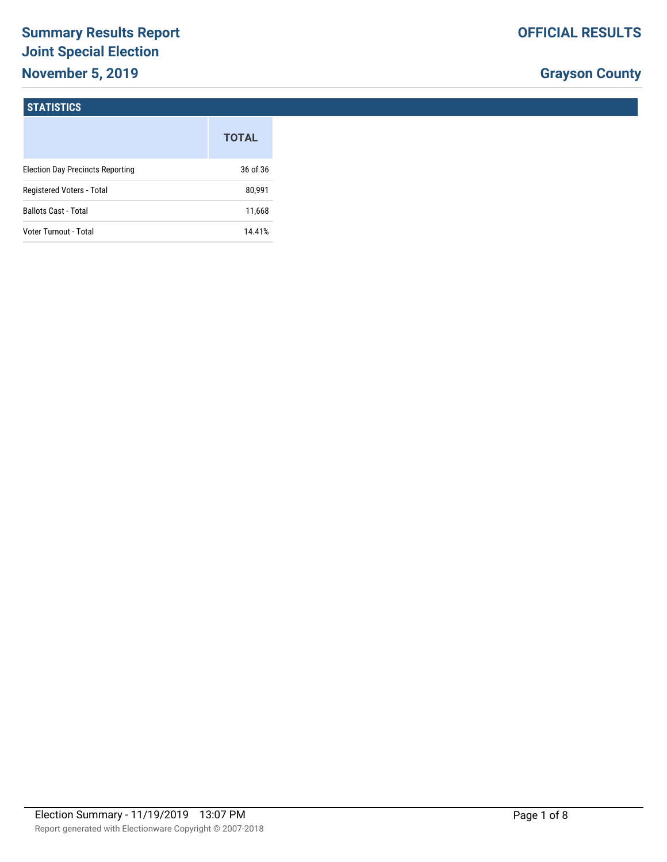# **Summary Results Report Joint Special Election November 5, 2019**

# **Grayson County**

# **STATISTICS**

|                                         | <b>TOTAL</b> |
|-----------------------------------------|--------------|
| <b>Election Day Precincts Reporting</b> | 36 of 36     |
| Registered Voters - Total               | 80,991       |
| <b>Ballots Cast - Total</b>             | 11,668       |
| Voter Turnout - Total                   | 14.41%       |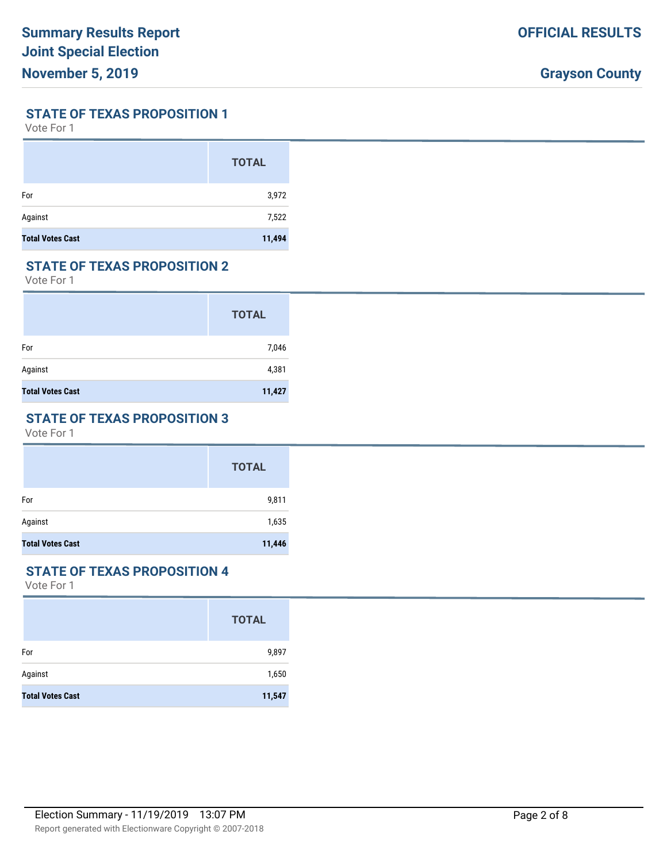#### **STATE OF TEXAS PROPOSITION 1**

Vote For 1

|                         | <b>TOTAL</b> |
|-------------------------|--------------|
| For                     | 3,972        |
| Against                 | 7,522        |
| <b>Total Votes Cast</b> | 11,494       |

# **STATE OF TEXAS PROPOSITION 2**

Vote For 1

|                         | <b>TOTAL</b> |
|-------------------------|--------------|
| For                     | 7,046        |
| Against                 | 4,381        |
| <b>Total Votes Cast</b> | 11,427       |

# **STATE OF TEXAS PROPOSITION 3**

Vote For 1

|                         | <b>TOTAL</b> |
|-------------------------|--------------|
| For                     | 9,811        |
| Against                 | 1,635        |
| <b>Total Votes Cast</b> | 11,446       |

#### **STATE OF TEXAS PROPOSITION 4**

|                         | <b>TOTAL</b> |
|-------------------------|--------------|
| For                     | 9,897        |
| Against                 | 1,650        |
| <b>Total Votes Cast</b> | 11,547       |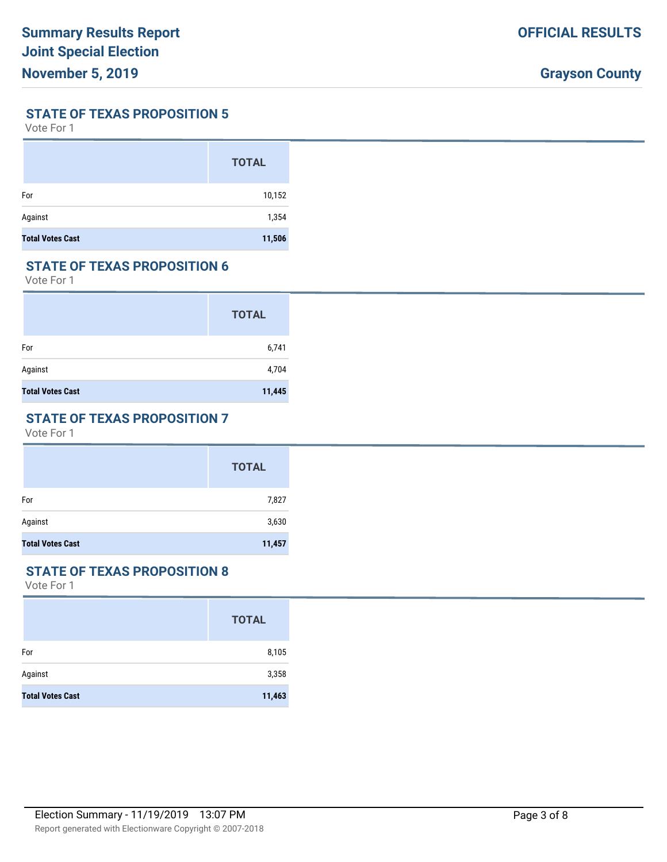#### **STATE OF TEXAS PROPOSITION 5**

Vote For 1

|                         | <b>TOTAL</b> |
|-------------------------|--------------|
| For                     | 10,152       |
| Against                 | 1,354        |
| <b>Total Votes Cast</b> | 11,506       |

## **STATE OF TEXAS PROPOSITION 6**

Vote For 1

|                         | <b>TOTAL</b> |
|-------------------------|--------------|
| For                     | 6,741        |
| Against                 | 4,704        |
| <b>Total Votes Cast</b> | 11,445       |

# **STATE OF TEXAS PROPOSITION 7**

Vote For 1

|                         | <b>TOTAL</b> |
|-------------------------|--------------|
| For                     | 7,827        |
| Against                 | 3,630        |
| <b>Total Votes Cast</b> | 11,457       |

#### **STATE OF TEXAS PROPOSITION 8**

|                         | <b>TOTAL</b> |
|-------------------------|--------------|
| For                     | 8,105        |
| Against                 | 3,358        |
| <b>Total Votes Cast</b> | 11,463       |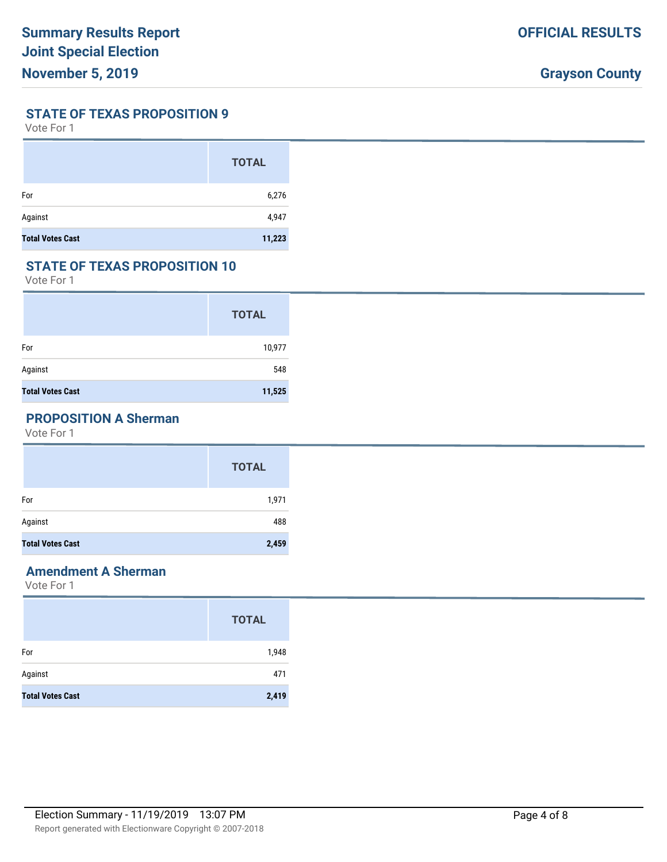**STATE OF TEXAS PROPOSITION 9**

Vote For 1

|                         | <b>TOTAL</b> |
|-------------------------|--------------|
| For                     | 6,276        |
| Against                 | 4,947        |
| <b>Total Votes Cast</b> | 11,223       |

# **STATE OF TEXAS PROPOSITION 10**

Vote For 1

|                         | <b>TOTAL</b> |
|-------------------------|--------------|
| For                     | 10,977       |
| Against                 | 548          |
| <b>Total Votes Cast</b> | 11,525       |

# **PROPOSITION A Sherman**

Vote For 1

|                         | <b>TOTAL</b> |
|-------------------------|--------------|
| For                     | 1,971        |
| Against                 | 488          |
| <b>Total Votes Cast</b> | 2,459        |

# **Amendment A Sherman**

|                         | <b>TOTAL</b> |
|-------------------------|--------------|
| For                     | 1,948        |
| Against                 | 471          |
| <b>Total Votes Cast</b> | 2,419        |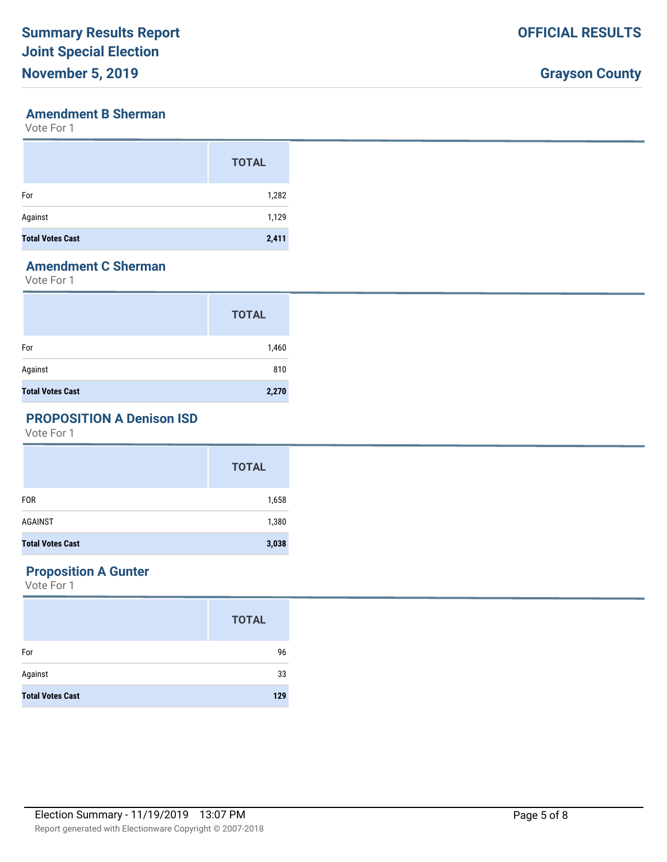# **Grayson County**

### **Amendment B Sherman**

Vote For 1

|                         | <b>TOTAL</b> |
|-------------------------|--------------|
| For                     | 1,282        |
| Against                 | 1,129        |
| <b>Total Votes Cast</b> | 2,411        |

# **Amendment C Sherman**

Vote For 1

|                         | <b>TOTAL</b> |
|-------------------------|--------------|
| For                     | 1,460        |
| Against                 | 810          |
| <b>Total Votes Cast</b> | 2,270        |

# **PROPOSITION A Denison ISD**

Vote For 1

|                         | <b>TOTAL</b> |
|-------------------------|--------------|
| <b>FOR</b>              | 1,658        |
| AGAINST                 | 1,380        |
| <b>Total Votes Cast</b> | 3,038        |

# **Proposition A Gunter**

|                         | <b>TOTAL</b> |
|-------------------------|--------------|
| For                     | 96           |
| Against                 | 33           |
| <b>Total Votes Cast</b> | 129          |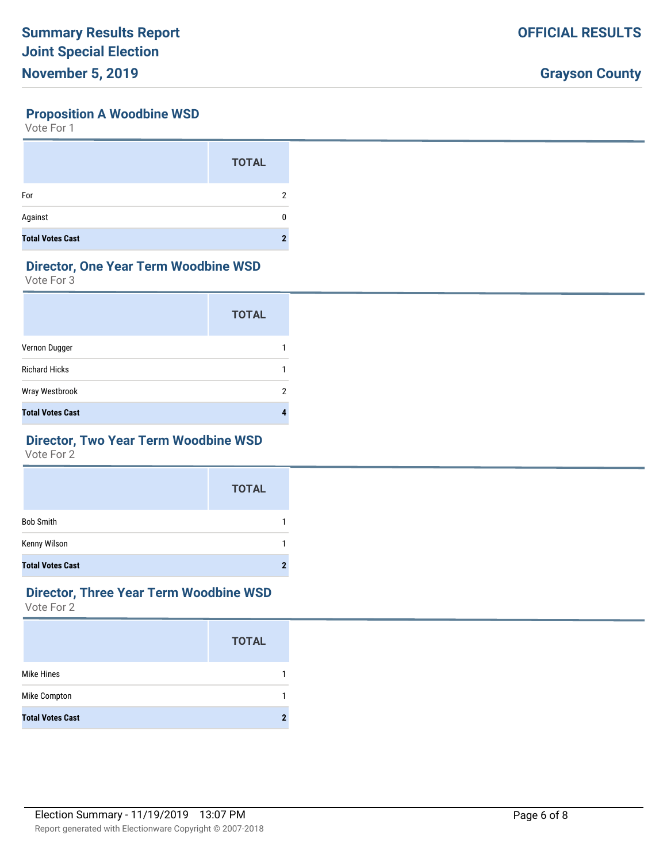# **Proposition A Woodbine WSD**

Vote For 1

|                         | <b>TOTAL</b> |
|-------------------------|--------------|
| For                     |              |
| Against                 |              |
| <b>Total Votes Cast</b> | n            |

# **Director, One Year Term Woodbine WSD**

Vote For 3

|                         | <b>TOTAL</b> |
|-------------------------|--------------|
| Vernon Dugger           |              |
| <b>Richard Hicks</b>    |              |
| Wray Westbrook          | 2            |
| <b>Total Votes Cast</b> |              |

# **Director, Two Year Term Woodbine WSD**

Vote For 2

|                         | <b>TOTAL</b> |
|-------------------------|--------------|
| <b>Bob Smith</b>        |              |
| Kenny Wilson            |              |
| <b>Total Votes Cast</b> |              |

#### **Director, Three Year Term Woodbine WSD** Vote For 2

|                         | <b>TOTAL</b> |
|-------------------------|--------------|
| <b>Mike Hines</b>       |              |
| <b>Mike Compton</b>     |              |
| <b>Total Votes Cast</b> | 2            |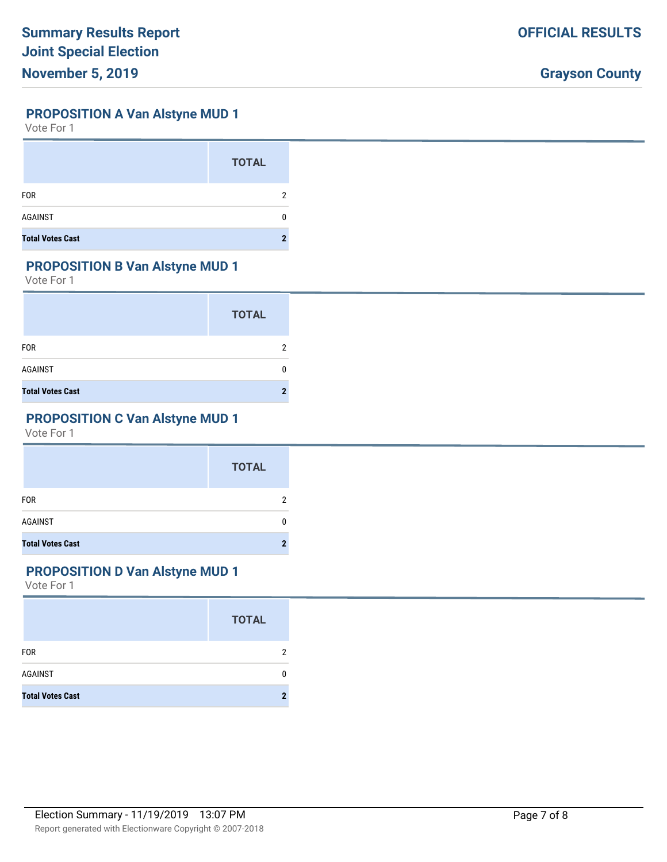#### **PROPOSITION A Van Alstyne MUD 1**

Vote For 1

|                         | <b>TOTAL</b> |
|-------------------------|--------------|
| <b>FOR</b>              |              |
| <b>AGAINST</b>          |              |
| <b>Total Votes Cast</b> |              |

# **PROPOSITION B Van Alstyne MUD 1**

Vote For 1

|                         | <b>TOTAL</b> |
|-------------------------|--------------|
| <b>FOR</b>              |              |
| <b>AGAINST</b>          |              |
| <b>Total Votes Cast</b> |              |

# **PROPOSITION C Van Alstyne MUD 1**

Vote For 1

|                         | <b>TOTAL</b> |
|-------------------------|--------------|
| <b>FOR</b>              | 2            |
| <b>AGAINST</b>          | 0            |
| <b>Total Votes Cast</b> | 2            |

# **PROPOSITION D Van Alstyne MUD 1**

|                         | <b>TOTAL</b> |
|-------------------------|--------------|
| <b>FOR</b>              | 2            |
| <b>AGAINST</b>          |              |
| <b>Total Votes Cast</b> |              |